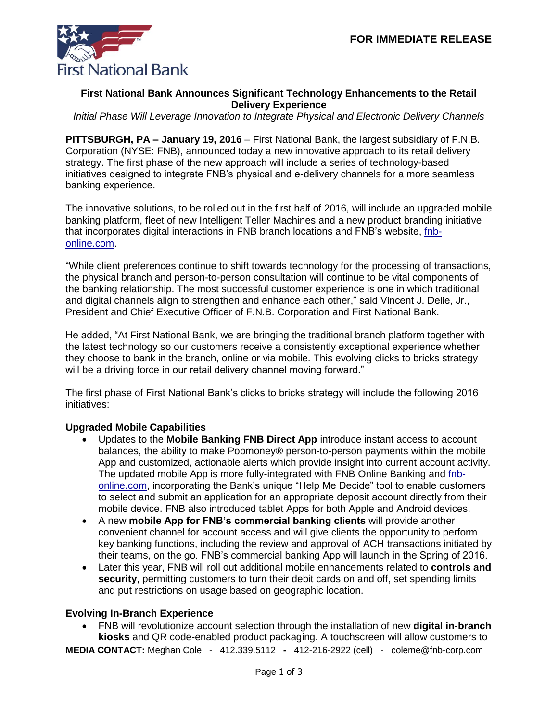

## **First National Bank Announces Significant Technology Enhancements to the Retail Delivery Experience**

*Initial Phase Will Leverage Innovation to Integrate Physical and Electronic Delivery Channels*

**PITTSBURGH, PA – January 19, 2016** – First National Bank, the largest subsidiary of F.N.B. Corporation (NYSE: FNB), announced today a new innovative approach to its retail delivery strategy. The first phase of the new approach will include a series of technology-based initiatives designed to integrate FNB's physical and e-delivery channels for a more seamless banking experience.

The innovative solutions, to be rolled out in the first half of 2016, will include an upgraded mobile banking platform, fleet of new Intelligent Teller Machines and a new product branding initiative that incorporates digital interactions in FNB branch locations and FNB's website, [fnb](https://www.fnb-online.com/)[online.com.](https://www.fnb-online.com/)

"While client preferences continue to shift towards technology for the processing of transactions, the physical branch and person-to-person consultation will continue to be vital components of the banking relationship. The most successful customer experience is one in which traditional and digital channels align to strengthen and enhance each other," said Vincent J. Delie, Jr., President and Chief Executive Officer of F.N.B. Corporation and First National Bank.

He added, "At First National Bank, we are bringing the traditional branch platform together with the latest technology so our customers receive a consistently exceptional experience whether they choose to bank in the branch, online or via mobile. This evolving clicks to bricks strategy will be a driving force in our retail delivery channel moving forward."

The first phase of First National Bank's clicks to bricks strategy will include the following 2016 initiatives:

### **Upgraded Mobile Capabilities**

- Updates to the **Mobile Banking FNB Direct App** introduce instant access to account balances, the ability to make Popmoney® person-to-person payments within the mobile App and customized, actionable alerts which provide insight into current account activity. The updated mobile App is more fully-integrated with FNB Online Banking and [fnb](https://www.fnb-online.com/)[online.com,](https://www.fnb-online.com/) incorporating the Bank's unique "Help Me Decide" tool to enable customers to select and submit an application for an appropriate deposit account directly from their mobile device. FNB also introduced tablet Apps for both Apple and Android devices.
- A new **mobile App for FNB's commercial banking clients** will provide another convenient channel for account access and will give clients the opportunity to perform key banking functions, including the review and approval of ACH transactions initiated by their teams, on the go. FNB's commercial banking App will launch in the Spring of 2016.
- Later this year, FNB will roll out additional mobile enhancements related to **controls and security**, permitting customers to turn their debit cards on and off, set spending limits and put restrictions on usage based on geographic location.

### **Evolving In-Branch Experience**

 FNB will revolutionize account selection through the installation of new **digital in-branch kiosks** and QR code-enabled product packaging. A touchscreen will allow customers to

**MEDIA CONTACT:** Meghan Cole - [412.339.5112](mailto:412.339.5112) **-** 412-216-2922 (cell) - coleme@fnb-corp.com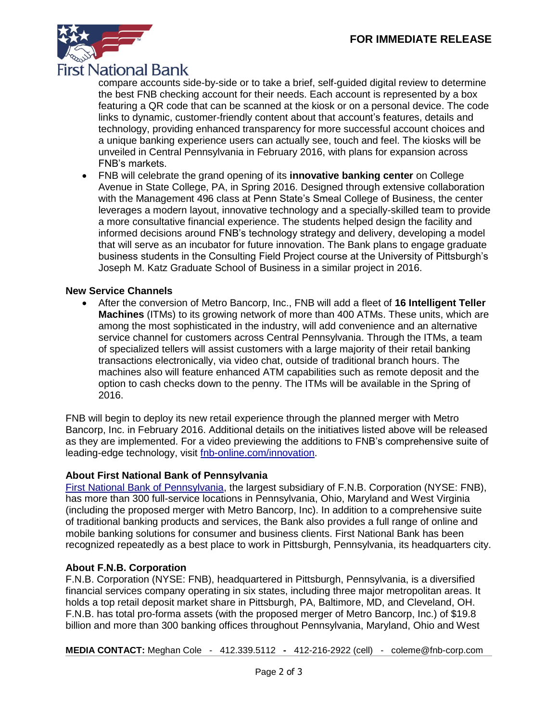

compare accounts side-by-side or to take a brief, self-guided digital review to determine the best FNB checking account for their needs. Each account is represented by a box featuring a QR code that can be scanned at the kiosk or on a personal device. The code links to dynamic, customer-friendly content about that account's features, details and technology, providing enhanced transparency for more successful account choices and a unique banking experience users can actually see, touch and feel. The kiosks will be unveiled in Central Pennsylvania in February 2016, with plans for expansion across FNB's markets.

 FNB will celebrate the grand opening of its **innovative banking center** on College Avenue in State College, PA, in Spring 2016. Designed through extensive collaboration with the Management 496 class at Penn State's Smeal College of Business, the center leverages a modern layout, innovative technology and a specially-skilled team to provide a more consultative financial experience. The students helped design the facility and informed decisions around FNB's technology strategy and delivery, developing a model that will serve as an incubator for future innovation. The Bank plans to engage graduate business students in the Consulting Field Project course at the University of Pittsburgh's Joseph M. Katz Graduate School of Business in a similar project in 2016.

### **New Service Channels**

 After the conversion of Metro Bancorp, Inc., FNB will add a fleet of **16 Intelligent Teller Machines** (ITMs) to its growing network of more than 400 ATMs. These units, which are among the most sophisticated in the industry, will add convenience and an alternative service channel for customers across Central Pennsylvania. Through the ITMs, a team of specialized tellers will assist customers with a large majority of their retail banking transactions electronically, via video chat, outside of traditional branch hours. The machines also will feature enhanced ATM capabilities such as remote deposit and the option to cash checks down to the penny. The ITMs will be available in the Spring of 2016.

FNB will begin to deploy its new retail experience through the planned merger with Metro Bancorp, Inc. in February 2016. Additional details on the initiatives listed above will be released as they are implemented. For a video previewing the additions to FNB's comprehensive suite of leading-edge technology, visit [fnb-online.com/innovation.](https://www.fnb-online.com/stand-alone-pages/video/innovation)

# **About First National Bank of Pennsylvania**

[First National Bank of Pennsylvania,](https://www.fnb-online.com/) the largest subsidiary of F.N.B. Corporation (NYSE: FNB), has more than 300 full-service locations in Pennsylvania, Ohio, Maryland and West Virginia (including the proposed merger with Metro Bancorp, Inc). In addition to a comprehensive suite of traditional banking products and services, the Bank also provides a full range of online and mobile banking solutions for consumer and business clients. First National Bank has been recognized repeatedly as a best place to work in Pittsburgh, Pennsylvania, its headquarters city.

# **About F.N.B. Corporation**

F.N.B. Corporation (NYSE: FNB), headquartered in Pittsburgh, Pennsylvania, is a diversified financial services company operating in six states, including three major metropolitan areas. It holds a top retail deposit market share in Pittsburgh, PA, Baltimore, MD, and Cleveland, OH. F.N.B. has total pro-forma assets (with the proposed merger of Metro Bancorp, Inc.) of \$19.8 billion and more than 300 banking offices throughout Pennsylvania, Maryland, Ohio and West

**MEDIA CONTACT:** Meghan Cole - [412.339.5112](mailto:412.339.5112) **-** 412-216-2922 (cell) - coleme@fnb-corp.com